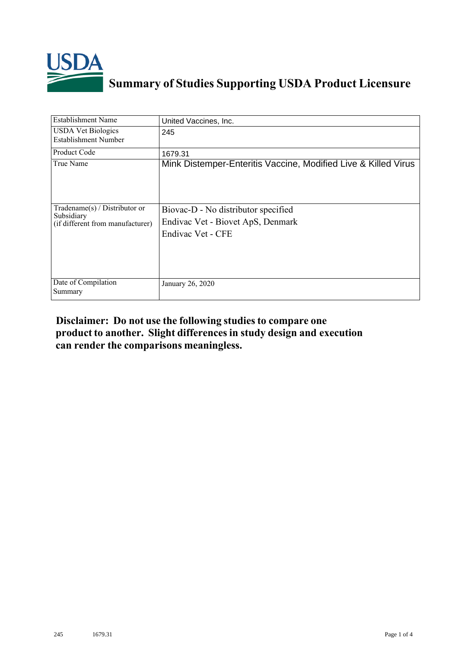

## **Summary of Studies Supporting USDA Product Licensure**

| Establishment Name                                | United Vaccines, Inc.                                          |
|---------------------------------------------------|----------------------------------------------------------------|
| <b>USDA Vet Biologics</b><br>Establishment Number | 245                                                            |
| Product Code                                      | 1679.31                                                        |
| True Name                                         | Mink Distemper-Enteritis Vaccine, Modified Live & Killed Virus |
| Tradename(s) / Distributor or                     | Biovac-D - No distributor specified                            |
| Subsidiary<br>(if different from manufacturer)    | Endivac Vet - Biovet ApS, Denmark                              |
|                                                   | Endivac Vet - CFE                                              |
| Date of Compilation<br>Summary                    | January 26, 2020                                               |

## **Disclaimer: Do not use the following studiesto compare one product to another. Slight differencesin study design and execution can render the comparisons meaningless.**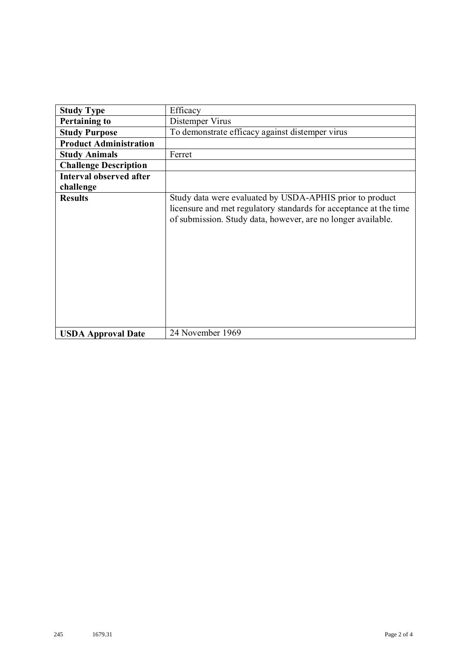| <b>Study Type</b>              | Efficacy                                                                                                                                                                                      |
|--------------------------------|-----------------------------------------------------------------------------------------------------------------------------------------------------------------------------------------------|
| <b>Pertaining to</b>           | Distemper Virus                                                                                                                                                                               |
| <b>Study Purpose</b>           | To demonstrate efficacy against distemper virus                                                                                                                                               |
| <b>Product Administration</b>  |                                                                                                                                                                                               |
| <b>Study Animals</b>           | Ferret                                                                                                                                                                                        |
| <b>Challenge Description</b>   |                                                                                                                                                                                               |
| <b>Interval observed after</b> |                                                                                                                                                                                               |
| challenge                      |                                                                                                                                                                                               |
| <b>Results</b>                 | Study data were evaluated by USDA-APHIS prior to product<br>licensure and met regulatory standards for acceptance at the time<br>of submission. Study data, however, are no longer available. |
| <b>USDA Approval Date</b>      | 24 November 1969                                                                                                                                                                              |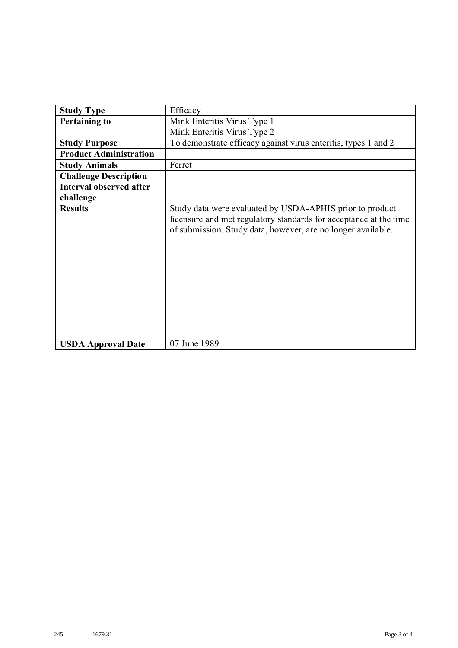| <b>Study Type</b>              | Efficacy                                                                                                                                                                                      |
|--------------------------------|-----------------------------------------------------------------------------------------------------------------------------------------------------------------------------------------------|
| <b>Pertaining to</b>           | Mink Enteritis Virus Type 1                                                                                                                                                                   |
|                                | Mink Enteritis Virus Type 2                                                                                                                                                                   |
| <b>Study Purpose</b>           | To demonstrate efficacy against virus enteritis, types 1 and 2                                                                                                                                |
| <b>Product Administration</b>  |                                                                                                                                                                                               |
| <b>Study Animals</b>           | Ferret                                                                                                                                                                                        |
| <b>Challenge Description</b>   |                                                                                                                                                                                               |
| <b>Interval observed after</b> |                                                                                                                                                                                               |
| challenge                      |                                                                                                                                                                                               |
| <b>Results</b>                 | Study data were evaluated by USDA-APHIS prior to product<br>licensure and met regulatory standards for acceptance at the time<br>of submission. Study data, however, are no longer available. |
| <b>USDA Approval Date</b>      | 07 June 1989                                                                                                                                                                                  |